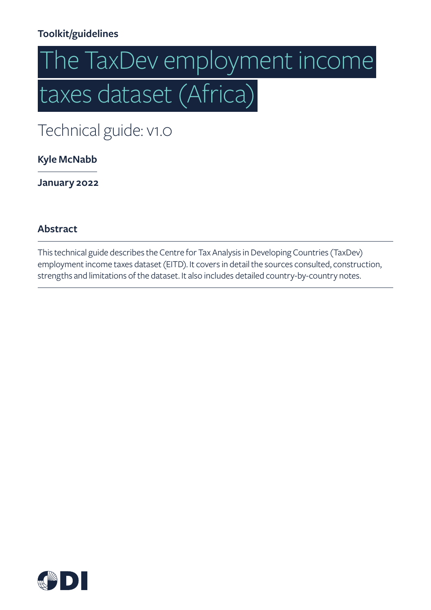## **Toolkit/guidelines**

# The TaxDev employment income   taxes dataset (Africa)

Technical guide: v1.0

**Kyle McNabb**

**January 2022**

#### **Abstract**

This technical guide describes the Centre for Tax Analysis in Developing Countries (TaxDev) employment income taxes dataset (EITD). It covers in detail the sources consulted, construction, strengths and limitations of the dataset. It also includes detailed country-by-country notes.

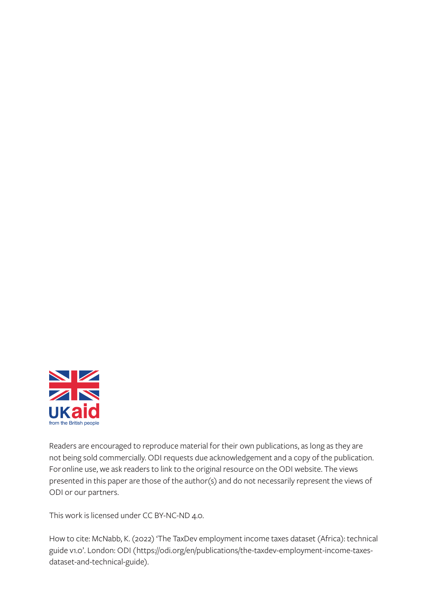

Readers are encouraged to reproduce material for their own publications, as long as they are not being sold commercially. ODI requests due acknowledgement and a copy of the publication. For online use, we ask readers to link to the original resource on the ODI website. The views presented in this paper are those of the author(s) and do not necessarily represent the views of ODI or our partners.

This work is licensed under CC BY-NC-ND 4.0.

How to cite: McNabb, K. (2022) 'The TaxDev employment income taxes dataset (Africa): technical guide v1.0'. London: ODI (https://odi.org/en/publications/the-taxdev-employment-income-taxesdataset-and-technical-guide).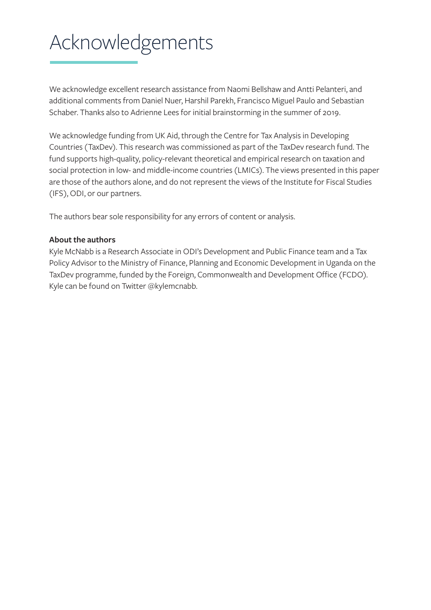## Acknowledgements

We acknowledge excellent research assistance from Naomi Bellshaw and Antti Pelanteri, and additional comments from Daniel Nuer, Harshil Parekh, Francisco Miguel Paulo and Sebastian Schaber. Thanks also to Adrienne Lees for initial brainstorming in the summer of 2019.

We acknowledge funding from UK Aid, through the Centre for Tax Analysis in Developing Countries (TaxDev). This research was commissioned as part of the TaxDev research fund. The fund supports high-quality, policy-relevant theoretical and empirical research on taxation and social protection in low- and middle-income countries (LMICs). The views presented in this paper are those of the authors alone, and do not represent the views of the Institute for Fiscal Studies (IFS), ODI, or our partners.

The authors bear sole responsibility for any errors of content or analysis.

#### **About the authors**

Kyle McNabb is a Research Associate in ODI's Development and Public Finance team and a Tax Policy Advisor to the Ministry of Finance, Planning and Economic Development in Uganda on the TaxDev programme, funded by the Foreign, Commonwealth and Development Office (FCDO). Kyle can be found on Twitter @kylemcnabb.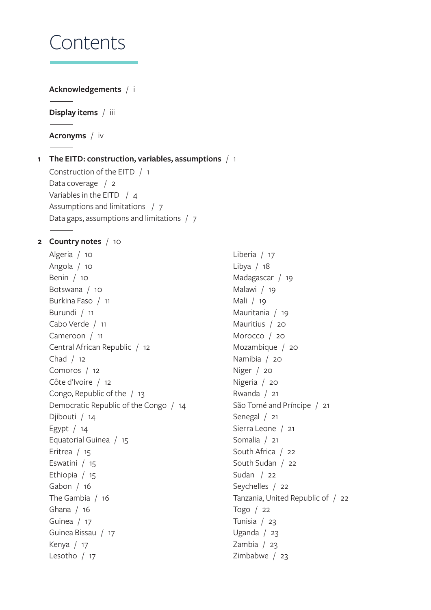## Contents

#### **Acknowledgements** / i

**Display items** / iii

**Acronyms** / iv

#### **1 The EITD: construction, variables, assumptions** / 1

Construction of the EITD / 1 Data coverage / 2 Variables in the EITD / 4 Assumptions and limitations / 7 Data gaps, assumptions and limitations / 7

#### **2 Country notes** / 10

Algeria / 10 Angola / 10 Benin / 10 Botswana / 10 Burkina Faso / 11 Burundi / 11 Cabo Verde / 11 Cameroon / 11 Central African Republic / 12 Chad / 12 Comoros / 12 Côte d'Ivoire / 12 Congo, Republic of the / 13 Democratic Republic of the Congo / 14 Djibouti / 14 Egypt / 14 Equatorial Guinea / 15 Eritrea / 15 Eswatini / 15 Ethiopia / 15 Gabon / 16 The Gambia / 16 Ghana / 16 Guinea / 17 Guinea Bissau / 17 Kenya / 17 Lesotho / 17

Liberia / 17 Libya / 18 Madagascar / 19 Malawi / 19 Mali / 19 Mauritania / 19 Mauritius / 20 Morocco / 20 Mozambique / 20 Namibia / 20 Niger / 20 Nigeria / 20 Rwanda / 21 São Tomé and Príncipe / 21 Senegal / 21 Sierra Leone / 21 Somalia / 21 South Africa / 22 South Sudan / 22 Sudan / 22 Seychelles / 22 Tanzania, United Republic of / 22 Togo / 22 Tunisia / 23 Uganda / 23 Zambia / 23 Zimbabwe / 23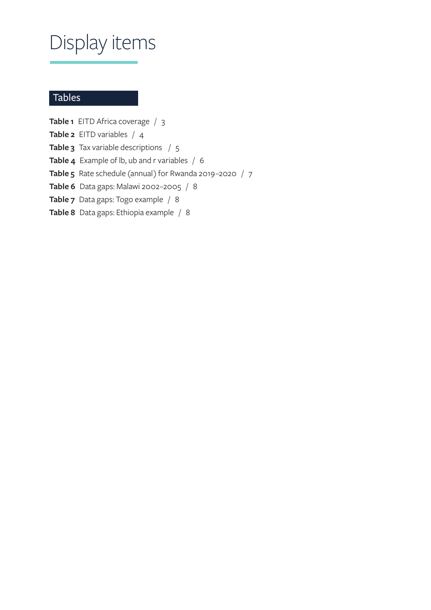## Display items

#### Tables

**Table 1** EITD Africa coverage / 3 **Table 2** EITD variables / 4 **Table 3** Tax variable descriptions / 5 **Table 4** Example of lb, ub and r variables / 6 **Table 5** Rate schedule (annual) for Rwanda 2019–2020 / 7 **Table 6** Data gaps: Malawi 2002–2005 / 8 **Table 7** Data gaps: Togo example / 8 **Table 8** Data gaps: Ethiopia example / 8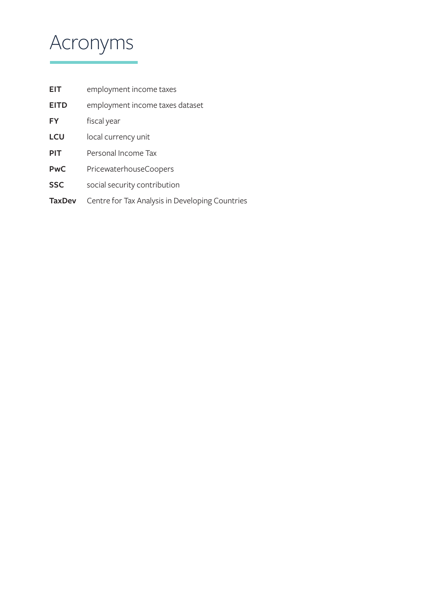## Acronyms

| <b>EIT</b>    | employment income taxes                         |
|---------------|-------------------------------------------------|
| <b>EITD</b>   | employment income taxes dataset                 |
| FY            | fiscal year                                     |
| <b>LCU</b>    | local currency unit                             |
| <b>PIT</b>    | Personal Income Tax                             |
| <b>PwC</b>    | PricewaterhouseCoopers                          |
| <b>SSC</b>    | social security contribution                    |
| <b>TaxDev</b> | Centre for Tax Analysis in Developing Countries |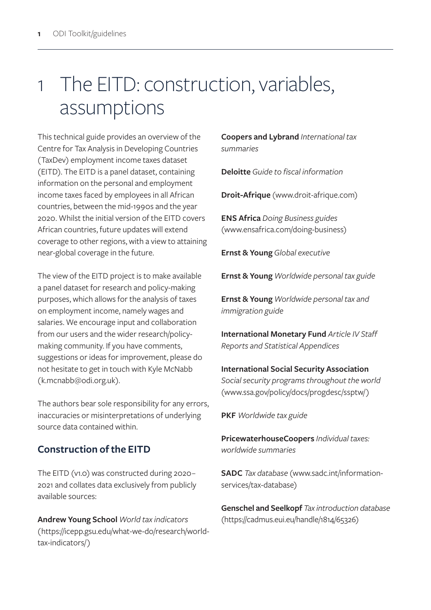## 1 The EITD: construction, variables, assumptions

This technical guide provides an overview of the Centre for Tax Analysis in Developing Countries (TaxDev) employment income taxes dataset (EITD). The EITD is a panel dataset, containing information on the personal and employment income taxes faced by employees in all African countries, between the mid-1990s and the year 2020. Whilst the initial version of the EITD covers African countries, future updates will extend coverage to other regions, with a view to attaining near-global coverage in the future.

The view of the EITD project is to make available a panel dataset for research and policy-making purposes, which allows for the analysis of taxes on employment income, namely wages and salaries. We encourage input and collaboration from our users and the wider research/policymaking community. If you have comments, suggestions or ideas for improvement, please do not hesitate to get in touch with Kyle McNabb (k.mcnabb@odi.org.uk).

The authors bear sole responsibility for any errors, inaccuracies or misinterpretations of underlying source data contained within.

## **Construction of the EITD**

The EITD (v1.0) was constructed during 2020– 2021 and collates data exclusively from publicly available sources:

**Andrew Young School** *World tax indicators* (https://icepp.gsu.edu/what-we-do/research/worldtax-indicators/)

**Coopers and Lybrand** *International tax summaries*

**Deloitte** *Guide to fiscal information*

**Droit-Afrique** (www.droit-afrique.com)

**ENS Africa** *Doing Business guides* (www.ensafrica.com/doing-business)

**Ernst & Young** *Global executive*

**Ernst & Young** *Worldwide personal tax guide* 

**Ernst & Young** *Worldwide personal tax and immigration guide*

**International Monetary Fund** *Article IV Staff Reports and Statistical Appendices*

**International Social Security Association** *Social security programs throughout the world* (www.ssa.gov/policy/docs/progdesc/ssptw/)

**PKF** *Worldwide tax guide*

**PricewaterhouseCoopers** *Individual taxes: worldwide summaries*

**SADC** *Tax database* (www.sadc.int/informationservices/tax-database)

**Genschel and Seelkopf** *Tax introduction database* (https://cadmus.eui.eu/handle/1814/65326)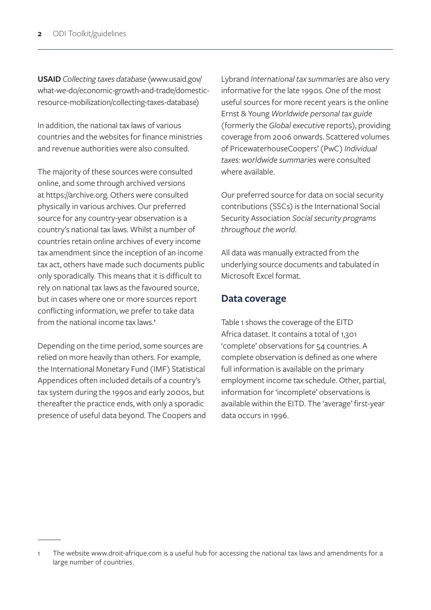**USAID** *Collecting taxes database* (www.usaid.gov/ what-we-do/economic-growth-and-trade/domesticresource-mobilization/collecting-taxes-database)

In addition, the national tax laws of various countries and the websites for finance ministries and revenue authorities were also consulted.

The majority of these sources were consulted online, and some through archived versions at https://archive.org. Others were consulted physically in various archives. Our preferred source for any country-year observation is a country's national tax laws. Whilst a number of countries retain online archives of every income tax amendment since the inception of an income tax act, others have made such documents public only sporadically. This means that it is difficult to rely on national tax laws as the favoured source, but in cases where one or more sources report conflicting information, we prefer to take data from the national income tax laws.**<sup>1</sup>**

Depending on the time period, some sources are relied on more heavily than others. For example, the International Monetary Fund (IMF) Statistical Appendices often included details of a country's tax system during the 1990s and early 2000s, but thereafter the practice ends, with only a sporadic presence of useful data beyond. The Coopers and Lybrand *International tax summaries* are also very informative for the late 1990s. One of the most useful sources for more recent years is the online Ernst & Young *Worldwide personal tax guide* (formerly the *Global executive* reports), providing coverage from 2006 onwards. Scattered volumes of PricewaterhouseCoopers' (PwC) *Individual taxes: worldwide summaries* were consulted where available.

Our preferred source for data on social security contributions (SSCs) is the International Social Security Association *Social security programs throughout the world*.

All data was manually extracted from the underlying source documents and tabulated in Microsoft Excel format.

#### **Data coverage**

Table 1 shows the coverage of the EITD Africa dataset. It contains a total of 1,301 'complete' observations for 54 countries. A complete observation is defined as one where full information is available on the primary employment income tax schedule. Other, partial, information for 'incomplete' observations is available within the EITD. The 'average' first-year data occurs in 1996.

The website www.droit-afrique.com is a useful hub for accessing the national tax laws and amendments for a large number of countries.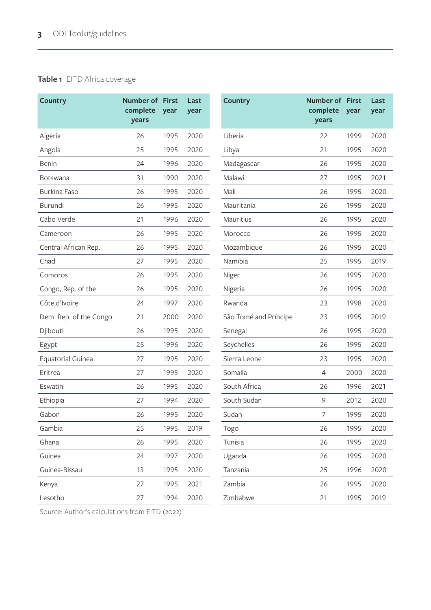#### **Table 1** EITD Africa coverage

| <b>Country</b>           | <b>Number of First</b><br>complete<br>years | year | Last<br>year | <b>Country</b>        | <b>Number of First</b><br>complete<br>years | year |  |
|--------------------------|---------------------------------------------|------|--------------|-----------------------|---------------------------------------------|------|--|
| Algeria                  | 26                                          | 1995 | 2020         | Liberia               | 22                                          | 1999 |  |
| Angola                   | 25                                          | 1995 | 2020         | Libya                 | 21                                          | 1995 |  |
| Benin                    | 24                                          | 1996 | 2020         | Madagascar            | 26                                          | 1995 |  |
| <b>Botswana</b>          | 31                                          | 1990 | 2020         | Malawi                | 27                                          | 1995 |  |
| Burkina Faso             | 26                                          | 1995 | 2020         | Mali                  | 26                                          | 1995 |  |
| Burundi                  | 26                                          | 1995 | 2020         | Mauritania            | 26                                          | 1995 |  |
| Cabo Verde               | 21                                          | 1996 | 2020         | Mauritius             | 26                                          | 1995 |  |
| Cameroon                 | 26                                          | 1995 | 2020         | Morocco               | 26                                          | 1995 |  |
| Central African Rep.     | 26                                          | 1995 | 2020         | Mozambique            | 26                                          | 1995 |  |
| Chad                     | 27                                          | 1995 | 2020         | Namibia               | 25                                          | 1995 |  |
| Comoros                  | 26                                          | 1995 | 2020         | Niger                 | 26                                          | 1995 |  |
| Congo, Rep. of the       | 26                                          | 1995 | 2020         | Nigeria               | 26                                          | 1995 |  |
| Côte d'Ivoire            | 24                                          | 1997 | 2020         | Rwanda                | 23                                          | 1998 |  |
| Dem. Rep. of the Congo   | 21                                          | 2000 | 2020         | São Tomé and Príncipe | 23                                          | 1995 |  |
| Djibouti                 | 26                                          | 1995 | 2020         | Senegal               | 26                                          | 1995 |  |
| Egypt                    | 25                                          | 1996 | 2020         | Seychelles            | 26                                          | 1995 |  |
| <b>Equatorial Guinea</b> | 27                                          | 1995 | 2020         | Sierra Leone          | 23                                          | 1995 |  |
| Eritrea                  | 27                                          | 1995 | 2020         | Somalia               | $\overline{4}$                              | 2000 |  |
| Eswatini                 | 26                                          | 1995 | 2020         | South Africa          | 26                                          | 1996 |  |
| Ethiopia                 | 27                                          | 1994 | 2020         | South Sudan           | 9                                           | 2012 |  |
| Gabon                    | 26                                          | 1995 | 2020         | Sudan                 | 7                                           | 1995 |  |
| Gambia                   | 25                                          | 1995 | 2019         | Togo                  | 26                                          | 1995 |  |
| Ghana                    | 26                                          | 1995 | 2020         | Tunisia               | 26                                          | 1995 |  |
| Guinea                   | 24                                          | 1997 | 2020         | Uganda                | 26                                          | 1995 |  |
| Guinea-Bissau            | 13                                          | 1995 | 2020         | Tanzania              | 25                                          | 1996 |  |
| Kenya                    | 27                                          | 1995 | 2021         | Zambia                | 26                                          | 1995 |  |
| Lesotho                  | 27                                          | 1994 | 2020         | Zimbabwe              | 21                                          | 1995 |  |
|                          |                                             |      |              |                       |                                             |      |  |

Source: Author's calculations from EITD (2022)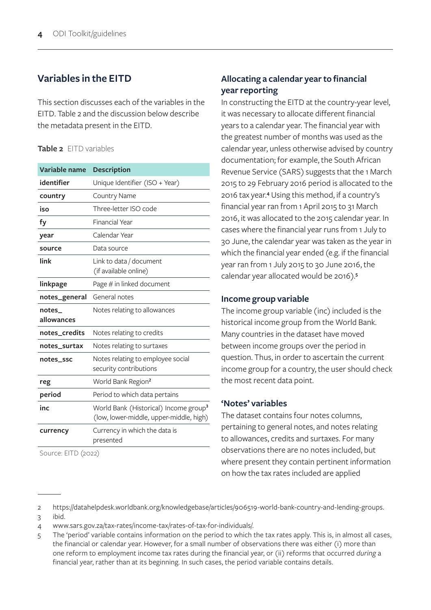#### **Variables in the EITD**

This section discusses each of the variables in the EITD. Table 2 and the discussion below describe the metadata present in the EITD.

#### **Table 2** EITD variables

| Variable name        | <b>Description</b>                                                                           |
|----------------------|----------------------------------------------------------------------------------------------|
| identifier           | Unique Identifier (ISO + Year)                                                               |
| country              | <b>Country Name</b>                                                                          |
| iso                  | Three-letter ISO code                                                                        |
| fy                   | <b>Financial Year</b>                                                                        |
| year                 | Calendar Year                                                                                |
| source               | Data source                                                                                  |
| link                 | Link to data / document<br>(if available online)                                             |
| linkpage             | Page # in linked document                                                                    |
| notes_general        | General notes                                                                                |
| notes_<br>allowances | Notes relating to allowances                                                                 |
| notes_credits        | Notes relating to credits                                                                    |
| notes_surtax         | Notes relating to surtaxes                                                                   |
| notes_ssc            | Notes relating to employee social<br>security contributions                                  |
| reg                  | World Bank Region <sup>2</sup>                                                               |
| period               | Period to which data pertains                                                                |
| inc                  | World Bank (Historical) Income group <sup>3</sup><br>(low, lower-middle, upper-middle, high) |
| currency             | Currency in which the data is<br>presented                                                   |
| Source: EITD (2022)  |                                                                                              |

#### **Allocating a calendar year to financial year reporting**

In constructing the EITD at the country-year level, it was necessary to allocate different financial years to a calendar year. The financial year with the greatest number of months was used as the calendar year, unless otherwise advised by country documentation; for example, the South African Revenue Service (SARS) suggests that the 1 March 2015 to 29 February 2016 period is allocated to the 2016 tax year.**<sup>4</sup>** Using this method, if a country's financial year ran from 1 April 2015 to 31 March 2016, it was allocated to the 2015 calendar year. In cases where the financial year runs from 1 July to 30 June, the calendar year was taken as the year in which the financial year ended (e.g. if the financial year ran from 1 July 2015 to 30 June 2016, the calendar year allocated would be 2016).**<sup>5</sup>**

#### **Income group variable**

The income group variable (inc) included is the historical income group from the World Bank. Many countries in the dataset have moved between income groups over the period in question. Thus, in order to ascertain the current income group for a country, the user should check the most recent data point.

#### **'Notes' variables**

The dataset contains four notes columns, pertaining to general notes, and notes relating to allowances, credits and surtaxes. For many observations there are no notes included, but where present they contain pertinent information on how the tax rates included are applied

<sup>2</sup> https://datahelpdesk.worldbank.org/knowledgebase/articles/906519-world-bank-country-and-lending-groups.

<sup>3</sup> ibid.

<sup>4</sup> www.sars.gov.za/tax-rates/income-tax/rates-of-tax-for-individuals/.

<sup>5</sup> The 'period' variable contains information on the period to which the tax rates apply. This is, in almost all cases, the financial or calendar year. However, for a small number of observations there was either (i) more than one reform to employment income tax rates during the financial year, or (ii) reforms that occurred *during* a financial year, rather than at its beginning. In such cases, the period variable contains details.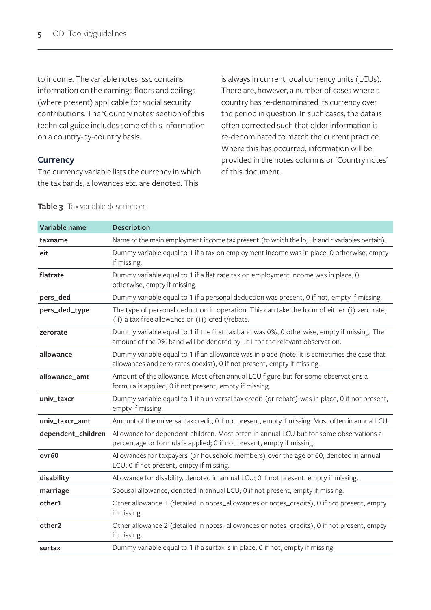to income. The variable notes\_ssc contains information on the earnings floors and ceilings (where present) applicable for social security contributions. The 'Country notes' section of this technical guide includes some of this information on a country-by-country basis.

#### **Currency**

The currency variable lists the currency in which the tax bands, allowances etc. are denoted. This

is always in current local currency units (LCUs). There are, however, a number of cases where a country has re-denominated its currency over the period in question. In such cases, the data is often corrected such that older information is re-denominated to match the current practice. Where this has occurred, information will be provided in the notes columns or 'Country notes' of this document.

| Variable name      | <b>Description</b>                                                                                                                                                       |
|--------------------|--------------------------------------------------------------------------------------------------------------------------------------------------------------------------|
| taxname            | Name of the main employment income tax present (to which the lb, ub and r variables pertain).                                                                            |
| eit                | Dummy variable equal to 1 if a tax on employment income was in place, 0 otherwise, empty<br>if missing.                                                                  |
| flatrate           | Dummy variable equal to 1 if a flat rate tax on employment income was in place, 0<br>otherwise, empty if missing.                                                        |
| pers_ded           | Dummy variable equal to 1 if a personal deduction was present, 0 if not, empty if missing.                                                                               |
| pers_ded_type      | The type of personal deduction in operation. This can take the form of either (i) zero rate,<br>(ii) a tax-free allowance or (iii) credit/rebate.                        |
| zerorate           | Dummy variable equal to 1 if the first tax band was 0%, 0 otherwise, empty if missing. The<br>amount of the 0% band will be denoted by ub1 for the relevant observation. |
| allowance          | Dummy variable equal to 1 if an allowance was in place (note: it is sometimes the case that<br>allowances and zero rates coexist), 0 if not present, empty if missing.   |
| allowance_amt      | Amount of the allowance. Most often annual LCU figure but for some observations a<br>formula is applied; 0 if not present, empty if missing.                             |
| univ_taxcr         | Dummy variable equal to 1 if a universal tax credit (or rebate) was in place, 0 if not present,<br>empty if missing.                                                     |
| univ_taxcr_amt     | Amount of the universal tax credit, 0 if not present, empty if missing. Most often in annual LCU.                                                                        |
| dependent_children | Allowance for dependent children. Most often in annual LCU but for some observations a<br>percentage or formula is applied; 0 if not present, empty if missing.          |
| ovr60              | Allowances for taxpayers (or household members) over the age of 60, denoted in annual<br>LCU; 0 if not present, empty if missing.                                        |
| disability         | Allowance for disability, denoted in annual LCU; 0 if not present, empty if missing.                                                                                     |
| marriage           | Spousal allowance, denoted in annual LCU; 0 if not present, empty if missing.                                                                                            |
| other1             | Other allowance 1 (detailed in notes_allowances or notes_credits), 0 if not present, empty<br>if missing.                                                                |
| other2             | Other allowance 2 (detailed in notes_allowances or notes_credits), 0 if not present, empty<br>if missing.                                                                |
| surtax             | Dummy variable equal to 1 if a surtax is in place, 0 if not, empty if missing.                                                                                           |

#### **Table 3** Tax variable descriptions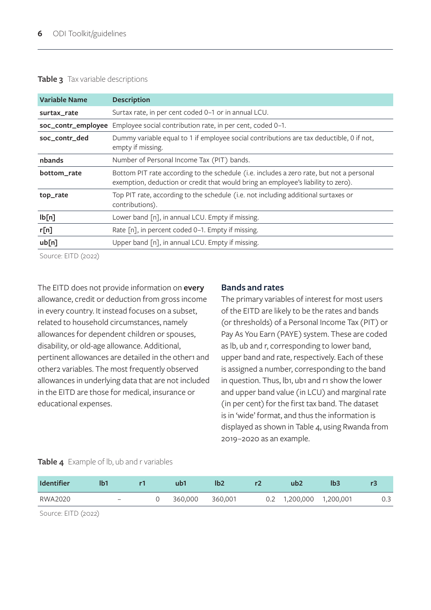#### **Table 3** Tax variable descriptions

| <b>Variable Name</b> | <b>Description</b>                                                                                                                                                            |
|----------------------|-------------------------------------------------------------------------------------------------------------------------------------------------------------------------------|
| surtax_rate          | Surtax rate, in per cent coded 0-1 or in annual LCU.                                                                                                                          |
| soc_contr_employee   | Employee social contribution rate, in per cent, coded 0-1.                                                                                                                    |
| soc_contr_ded        | Dummy variable equal to 1 if employee social contributions are tax deductible, 0 if not,<br>empty if missing.                                                                 |
| nbands               | Number of Personal Income Tax (PIT) bands.                                                                                                                                    |
| bottom_rate          | Bottom PIT rate according to the schedule (i.e. includes a zero rate, but not a personal<br>exemption, deduction or credit that would bring an employee's liability to zero). |
| top_rate             | Top PIT rate, according to the schedule (i.e. not including additional surtaxes or<br>contributions).                                                                         |
| lb[n]                | Lower band [n], in annual LCU. Empty if missing.                                                                                                                              |
| r[n]                 | Rate [n], in percent coded 0-1. Empty if missing.                                                                                                                             |
| ub[n]                | Upper band [n], in annual LCU. Empty if missing.                                                                                                                              |

Source: EITD (2022)

The EITD does not provide information on **every** allowance, credit or deduction from gross income in every country. It instead focuses on a subset, related to household circumstances, namely allowances for dependent children or spouses, disability, or old-age allowance. Additional, pertinent allowances are detailed in the other1 and other2 variables. The most frequently observed allowances in underlying data that are not included in the EITD are those for medical, insurance or educational expenses.

#### **Bands and rates**

The primary variables of interest for most users of the EITD are likely to be the rates and bands (or thresholds) of a Personal Income Tax (PIT) or Pay As You Earn (PAYE) system. These are coded as lb, ub and r, corresponding to lower band, upper band and rate, respectively. Each of these is assigned a number, corresponding to the band in question. Thus, lb1, ub1 and r1 show the lower and upper band value (in LCU) and marginal rate (in per cent) for the first tax band. The dataset is in 'wide' format, and thus the information is displayed as shown in Table 4, using Rwanda from 2019–2020 as an example.

#### **Table 4** Example of lb, ub and r variables

| <b>Identifier</b> | Ib1               | ub1     | lb2     | ub2                     | lb3 |     |
|-------------------|-------------------|---------|---------|-------------------------|-----|-----|
| RWA2020           | $\qquad \qquad -$ | 360,000 | 360,001 | 0.2 1,200,000 1,200,001 |     | 0.3 |
|                   |                   |         |         |                         |     |     |

Source: EITD (2022)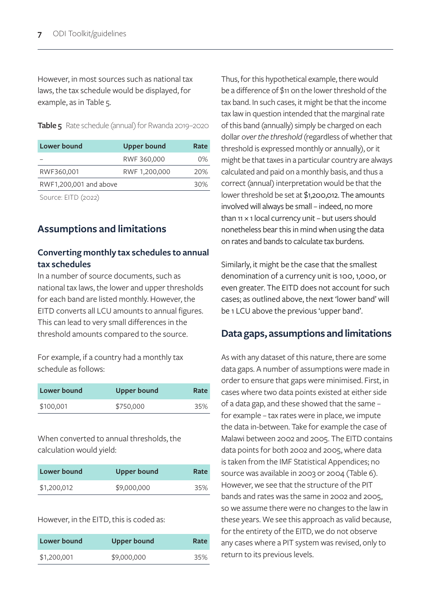However, in most sources such as national tax laws, the tax schedule would be displayed, for example, as in Table 5.

**Table 5** Rate schedule (annual) for Rwanda 2019–2020

| Lower bound            | <b>Upper bound</b> | Rate |
|------------------------|--------------------|------|
|                        | RWF 360,000        | ሰ%   |
| RWF360,001             | RWF 1,200,000      | 20%  |
| RWF1,200,001 and above |                    | 30%  |
|                        |                    |      |

Source: EITD (2022)

#### **Assumptions and limitations**

#### **Converting monthly tax schedules to annual tax schedules**

In a number of source documents, such as national tax laws, the lower and upper thresholds for each band are listed monthly. However, the EITD converts all LCU amounts to annual figures. This can lead to very small differences in the threshold amounts compared to the source.

For example, if a country had a monthly tax schedule as follows:

| Lower bound | Upper bound | Rate |
|-------------|-------------|------|
| \$100,001   | \$750,000   | 35%  |

When converted to annual thresholds, the calculation would yield:

| Lower bound | Upper bound | Rate |
|-------------|-------------|------|
| \$1,200,012 | \$9,000,000 | 35%  |

#### However, in the EITD, this is coded as:

| Lower bound | Upper bound | Rate |
|-------------|-------------|------|
| \$1,200,001 | \$9,000,000 | 35%  |

Thus, for this hypothetical example, there would be a difference of \$11 on the lower threshold of the tax band. In such cases, it might be that the income tax law in question intended that the marginal rate of this band (annually) simply be charged on each dollar *over the threshold* (regardless of whether that threshold is expressed monthly or annually), or it might be that taxes in a particular country are always calculated and paid on a monthly basis, and thus a correct (annual) interpretation would be that the lower threshold be set at \$1,200,012. The amounts involved will always be small – indeed, no more than  $11 \times 1$  local currency unit – but users should nonetheless bear this in mind when using the data on rates and bands to calculate tax burdens.

Similarly, it might be the case that the smallest denomination of a currency unit is 100, 1,000, or even greater. The EITD does not account for such cases; as outlined above, the next 'lower band' will be 1 LCU above the previous 'upper band'.

#### **Data gaps, assumptions and limitations**

As with any dataset of this nature, there are some data gaps. A number of assumptions were made in order to ensure that gaps were minimised. First, in cases where two data points existed at either side of a data gap, and these showed that the same – for example – tax rates were in place, we impute the data in-between. Take for example the case of Malawi between 2002 and 2005. The EITD contains data points for both 2002 and 2005, where data is taken from the IMF Statistical Appendices; no source was available in 2003 or 2004 (Table 6). However, we see that the structure of the PIT bands and rates was the same in 2002 and 2005, so we assume there were no changes to the law in these years. We see this approach as valid because, for the entirety of the EITD, we do not observe any cases where a PIT system was revised, only to return to its previous levels.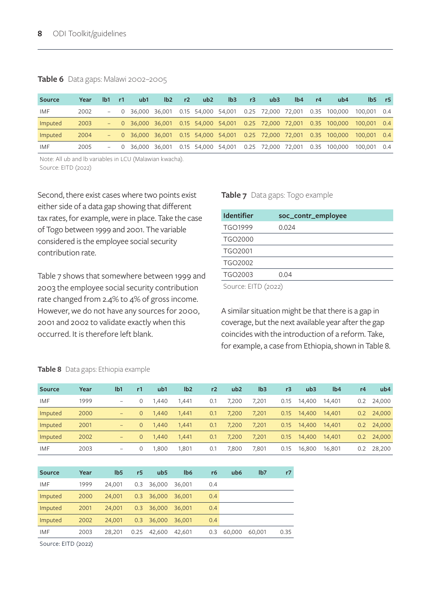#### **Table 6** Data gaps: Malawi 2002–2005

| <b>Source</b> | Year | lb1 | $-1$ | ub1 | lb2                                                       | r2 | ub2 | I <sub>b3</sub> | r3 | ub3 | lb4 | r4 | ub4                                                                    |                                                                                    | $Ib5$ r5 |
|---------------|------|-----|------|-----|-----------------------------------------------------------|----|-----|-----------------|----|-----|-----|----|------------------------------------------------------------------------|------------------------------------------------------------------------------------|----------|
| IMF           | 2002 |     |      |     |                                                           |    |     |                 |    |     |     |    | $-$ 0 36,000 36,001 0.15 54,000 54,001 0.25 72,000 72,001 0.35 100,000 | 100,001 0.4                                                                        |          |
| Imputed       | 2003 |     |      |     |                                                           |    |     |                 |    |     |     |    |                                                                        | $-$ 0 36,000 36,001 0.15 54,000 54,001 0.25 72,000 72,001 0.35 100,000 100,001 0.4 |          |
| Imputed       | 2004 |     |      |     |                                                           |    |     |                 |    |     |     |    | $-$ 0 36,000 36,001 0.15 54,000 54,001 0.25 72,000 72,001 0.35 100,000 | 100,001 0.4                                                                        |          |
| IMF           | 2005 |     |      |     | $-$ 0 36,000 36,001 0.15 54,000 54,001 0.25 72,000 72,001 |    |     |                 |    |     |     |    | 0.35 100,000                                                           | 100,001 0.4                                                                        |          |

Note: All ub and lb variables in LCU (Malawian kwacha). Source: EITD (2022)

Second, there exist cases where two points exist either side of a data gap showing that different tax rates, for example, were in place. Take the case of Togo between 1999 and 2001. The variable considered is the employee social security contribution rate.

Table 7 shows that somewhere between 1999 and 2003 the employee social security contribution rate changed from 2.4% to 4% of gross income. However, we do not have any sources for 2000, 2001 and 2002 to validate exactly when this occurred. It is therefore left blank.

#### **Table 7** Data gaps: Togo example

| <b>Identifier</b>   | soc_contr_employee |  |  |  |  |
|---------------------|--------------------|--|--|--|--|
| TGO1999             | 0.024              |  |  |  |  |
| <b>TGO2000</b>      |                    |  |  |  |  |
| TGO2001             |                    |  |  |  |  |
| TGO2002             |                    |  |  |  |  |
| TGO2003             | 0.04               |  |  |  |  |
| Source: EITD (2022) |                    |  |  |  |  |

A similar situation might be that there is a gap in coverage, but the next available year after the gap coincides with the introduction of a reform. Take, for example, a case from Ethiopia, shown in Table 8.

| <b>Source</b> | Year | lb1                      | r1 | ub1   | lb2   | r2  | ub <sub>2</sub> | I <sub>b3</sub> | r3   | ub3    | lb4    | r4            | ub4    |
|---------------|------|--------------------------|----|-------|-------|-----|-----------------|-----------------|------|--------|--------|---------------|--------|
| IMF           | 1999 | $\overline{\phantom{m}}$ |    | 1.440 | 1,441 | 0.1 | 7.200           | 7.201           | 0.15 | 14,400 | 14,401 | $0.2^{\circ}$ | 24,000 |
| Imputed       | 2000 | $\qquad \qquad$          |    | 1.440 | 1,441 | 0.1 | 7,200           | 7,201           | 0.15 | 14,400 | 14,401 | 0.2           | 24,000 |
| Imputed       | 2001 | $\qquad \qquad -$        | 0  | 1.440 | 1,441 | 0.1 | 7,200           | 7.201           | 0.15 | 14,400 | 14,401 | 0.2           | 24,000 |
| Imputed       | 2002 | $\qquad \qquad -$        | 0  | 1.440 | 1,441 | 0.1 | 7,200           | 7.201           | 0.15 | 14,400 | 14,401 | 0.2           | 24,000 |
| IMF           | 2003 |                          |    | .800  | 1,801 | 0.1 | 7.800           | 7,801           | 0.15 | 16,800 | 16,801 | 0.2           | 28,200 |

#### **Table 8** Data gaps: Ethiopia example

| <b>Source</b> | Year | I <sub>b5</sub> | r <sub>5</sub> | ub <sub>5</sub> | lb <sub>6</sub> | r <sub>6</sub> | ub6    | 1 <sub>b7</sub> | r7   |
|---------------|------|-----------------|----------------|-----------------|-----------------|----------------|--------|-----------------|------|
| IMF           | 1999 | 24,001          | 0.3            | 36,000          | 36,001          | 0.4            |        |                 |      |
| Imputed       | 2000 | 24,001          | 0.3            | 36,000          | 36,001          | 0.4            |        |                 |      |
| Imputed       | 2001 | 24,001          | 0.3            | 36,000          | 36,001          | 0.4            |        |                 |      |
| Imputed       | 2002 | 24,001          | 0.3            | 36,000          | 36,001          | 0.4            |        |                 |      |
| IMF           | 2003 | 28,201          | 0.25           | 42,600          | 42,601          | 0.3            | 60,000 | 60,001          | 0.35 |
|               |      |                 |                |                 |                 |                |        |                 |      |

Source: EITD (2022)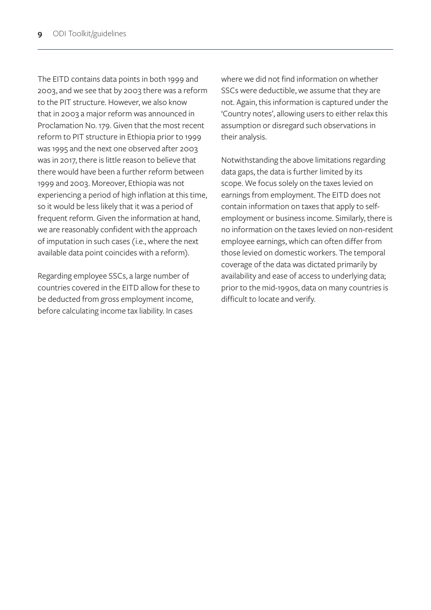The EITD contains data points in both 1999 and 2003, and we see that by 2003 there was a reform to the PIT structure. However, we also know that in 2003 a major reform was announced in Proclamation No. 179. Given that the most recent reform to PIT structure in Ethiopia prior to 1999 was 1995 and the next one observed after 2003 was in 2017, there is little reason to believe that there would have been a further reform between 1999 and 2003. Moreover, Ethiopia was not experiencing a period of high inflation at this time, so it would be less likely that it was a period of frequent reform. Given the information at hand, we are reasonably confident with the approach of imputation in such cases (i.e., where the next available data point coincides with a reform).

Regarding employee SSCs, a large number of countries covered in the EITD allow for these to be deducted from gross employment income, before calculating income tax liability. In cases

where we did not find information on whether SSCs were deductible, we assume that they are not. Again, this information is captured under the 'Country notes', allowing users to either relax this assumption or disregard such observations in their analysis.

Notwithstanding the above limitations regarding data gaps, the data is further limited by its scope. We focus solely on the taxes levied on earnings from employment. The EITD does not contain information on taxes that apply to selfemployment or business income. Similarly, there is no information on the taxes levied on non-resident employee earnings, which can often differ from those levied on domestic workers. The temporal coverage of the data was dictated primarily by availability and ease of access to underlying data; prior to the mid-1990s, data on many countries is difficult to locate and verify.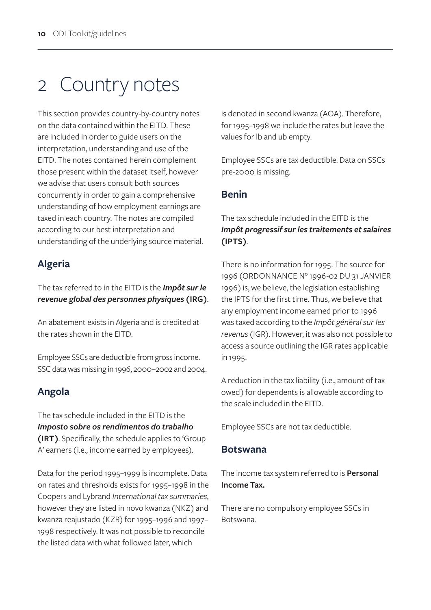## 2 Country notes

This section provides country-by-country notes on the data contained within the EITD. These are included in order to guide users on the interpretation, understanding and use of the EITD. The notes contained herein complement those present within the dataset itself, however we advise that users consult both sources concurrently in order to gain a comprehensive understanding of how employment earnings are taxed in each country. The notes are compiled according to our best interpretation and understanding of the underlying source material.

## **Algeria**

The tax referred to in the EITD is the *Impôt sur le revenue global des personnes physiques* **(IRG)**.

An abatement exists in Algeria and is credited at the rates shown in the EITD.

Employee SSCs are deductible from gross income. SSC data was missing in 1996, 2000–2002 and 2004.

## **Angola**

The tax schedule included in the EITD is the *Imposto sobre os rendimentos do trabalho*  **(IRT)**. Specifically, the schedule applies to 'Group A' earners (i.e., income earned by employees).

Data for the period 1995–1999 is incomplete. Data on rates and thresholds exists for 1995–1998 in the Coopers and Lybrand *International tax summaries*, however they are listed in novo kwanza (NKZ) and kwanza reajustado (KZR) for 1995–1996 and 1997– 1998 respectively. It was not possible to reconcile the listed data with what followed later, which

is denoted in second kwanza (AOA). Therefore, for 1995–1998 we include the rates but leave the values for lb and ub empty.

Employee SSCs are tax deductible. Data on SSCs pre-2000 is missing.

#### **Benin**

#### The tax schedule included in the EITD is the *Impôt progressif sur les traitements et salaires*  **(IPTS)**.

There is no information for 1995. The source for 1996 (ORDONNANCE N° 1996-02 DU 31 JANVIER 1996) is, we believe, the legislation establishing the IPTS for the first time. Thus, we believe that any employment income earned prior to 1996 was taxed according to the *Impôt général sur les revenus* (IGR). However, it was also not possible to access a source outlining the IGR rates applicable in 1995.

A reduction in the tax liability (i.e., amount of tax owed) for dependents is allowable according to the scale included in the EITD.

Employee SSCs are not tax deductible.

#### **Botswana**

The income tax system referred to is **Personal Income Tax.** 

There are no compulsory employee SSCs in Botswana.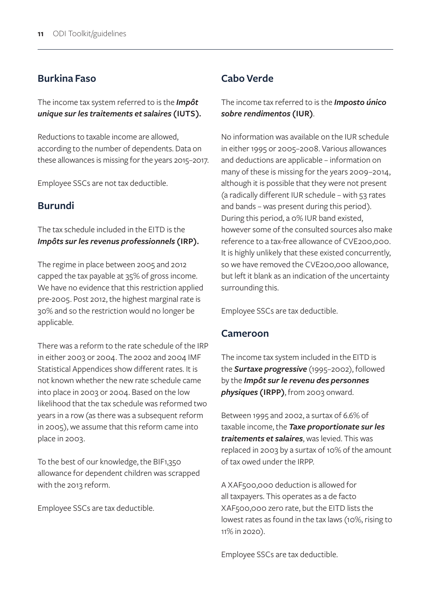#### **Burkina Faso**

The income tax system referred to is the *Impôt unique sur les traitements et salaires* **(IUTS).**

Reductions to taxable income are allowed, according to the number of dependents. Data on these allowances is missing for the years 2015–2017.

Employee SSCs are not tax deductible.

#### **Burundi**

#### The tax schedule included in the EITD is the *Impôts sur les revenus professionnels* **(IRP).**

The regime in place between 2005 and 2012 capped the tax payable at 35% of gross income. We have no evidence that this restriction applied pre-2005. Post 2012, the highest marginal rate is 30% and so the restriction would no longer be applicable.

There was a reform to the rate schedule of the IRP in either 2003 or 2004. The 2002 and 2004 IMF Statistical Appendices show different rates. It is not known whether the new rate schedule came into place in 2003 or 2004. Based on the low likelihood that the tax schedule was reformed two years in a row (as there was a subsequent reform in 2005), we assume that this reform came into place in 2003.

To the best of our knowledge, the BIF1,350 allowance for dependent children was scrapped with the 2013 reform.

Employee SSCs are tax deductible.

#### **Cabo Verde**

#### The income tax referred to is the *Imposto único sobre rendimentos* **(IUR)**.

No information was available on the IUR schedule in either 1995 or 2005–2008. Various allowances and deductions are applicable – information on many of these is missing for the years 2009–2014, although it is possible that they were not present (a radically different IUR schedule – with 53 rates and bands – was present during this period). During this period, a 0% IUR band existed, however some of the consulted sources also make reference to a tax-free allowance of CVE200,000. It is highly unlikely that these existed concurrently, so we have removed the CVE200,000 allowance, but left it blank as an indication of the uncertainty surrounding this.

Employee SSCs are tax deductible.

#### **Cameroon**

The income tax system included in the EITD is the *Surtaxe progressive* (1995–2002), followed by the *Impôt sur le revenu des personnes physiques* **(IRPP)**, from 2003 onward.

Between 1995 and 2002, a surtax of 6.6% of taxable income, the *Taxe proportionate sur les traitements et salaires*, was levied. This was replaced in 2003 by a surtax of 10% of the amount of tax owed under the IRPP.

A XAF500,000 deduction is allowed for all taxpayers. This operates as a de facto XAF500,000 zero rate, but the EITD lists the lowest rates as found in the tax laws (10%, rising to 11% in 2020).

Employee SSCs are tax deductible.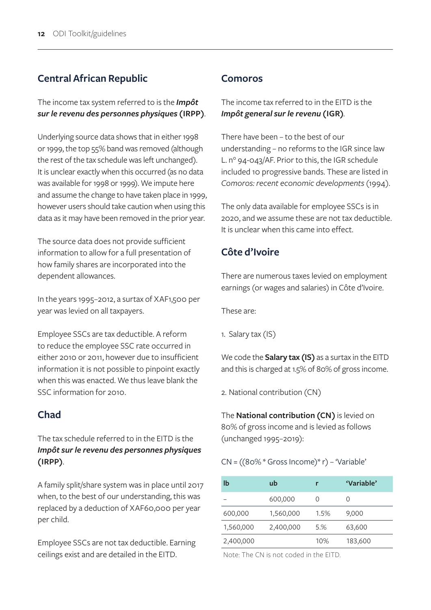## **Central African Republic**

The income tax system referred to is the *Impôt sur le revenu des personnes physiques* **(IRPP)**.

Underlying source data shows that in either 1998 or 1999, the top 55% band was removed (although the rest of the tax schedule was left unchanged). It is unclear exactly when this occurred (as no data was available for 1998 or 1999). We impute here and assume the change to have taken place in 1999, however users should take caution when using this data as it may have been removed in the prior year.

The source data does not provide sufficient information to allow for a full presentation of how family shares are incorporated into the dependent allowances.

In the years 1995–2012, a surtax of XAF1,500 per year was levied on all taxpayers.

Employee SSCs are tax deductible. A reform to reduce the employee SSC rate occurred in either 2010 or 2011, however due to insufficient information it is not possible to pinpoint exactly when this was enacted. We thus leave blank the SSC information for 2010.

## **Chad**

The tax schedule referred to in the EITD is the *Impôt sur le revenu des personnes physiques*  **(IRPP)**.

A family split/share system was in place until 2017 when, to the best of our understanding, this was replaced by a deduction of XAF60,000 per year per child.

Employee SSCs are not tax deductible. Earning ceilings exist and are detailed in the EITD.

#### **Comoros**

The income tax referred to in the EITD is the *Impôt general sur le revenu* **(IGR)***.*

There have been – to the best of our understanding – no reforms to the IGR since law L. n° 94-043/AF. Prior to this, the IGR schedule included 10 progressive bands. These are listed in *Comoros: recent economic developments* (1994).

The only data available for employee SSCs is in 2020, and we assume these are not tax deductible. It is unclear when this came into effect.

## **Côte d'Ivoire**

There are numerous taxes levied on employment earnings (or wages and salaries) in Côte d'Ivoire.

These are:

1. Salary tax (IS)

We code the **Salary tax (IS)** as a surtax in the EITD and this is charged at 1.5% of 80% of gross income.

2. National contribution (CN)

The **National contribution (CN)** is levied on 80% of gross income and is levied as follows (unchanged 1995–2019):

CN = ((80% \* Gross Income)\* r) – 'Variable'

| lb        | ub        | r                   | 'Variable' |
|-----------|-----------|---------------------|------------|
|           | 600,000   | $\scriptstyle\rm ($ | O          |
| 600,000   | 1,560,000 | 1.5%                | 9,000      |
| 1,560,000 | 2,400,000 | 5.%                 | 63,600     |
| 2,400,000 |           | 10%                 | 183,600    |

Note: The CN is not coded in the EITD.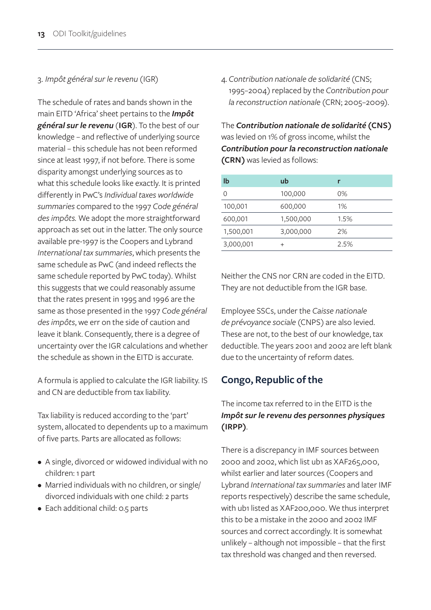#### 3. *Impôt général sur le revenu* (IGR)

The schedule of rates and bands shown in the main EITD 'Africa' sheet pertains to the *Impôt général sur le revenu* (**IGR**). To the best of our knowledge – and reflective of underlying source material – this schedule has not been reformed since at least 1997, if not before. There is some disparity amongst underlying sources as to what this schedule looks like exactly. It is printed differently in PwC's *Individual taxes worldwide summaries* compared to the 1997 *Code général des impôts.* We adopt the more straightforward approach as set out in the latter. The only source available pre-1997 is the Coopers and Lybrand *International tax summaries*, which presents the same schedule as PwC (and indeed reflects the same schedule reported by PwC today). Whilst this suggests that we could reasonably assume that the rates present in 1995 and 1996 are the same as those presented in the 1997 *Code général des impôts*, we err on the side of caution and leave it blank. Consequently, there is a degree of uncertainty over the IGR calculations and whether the schedule as shown in the EITD is accurate.

A formula is applied to calculate the IGR liability. IS and CN are deductible from tax liability.

Tax liability is reduced according to the 'part' system, allocated to dependents up to a maximum of five parts. Parts are allocated as follows:

- A single, divorced or widowed individual with no children: 1 part
- Married individuals with no children, or single/ divorced individuals with one child: 2 parts
- Each additional child: 0.5 parts

4. *Contribution nationale de solidarité* (CNS; 1995–2004) replaced by the *Contribution pour la reconstruction nationale* (CRN; 2005–2009).

The *Contribution nationale de solidarité* **(CNS)** was levied on 1% of gross income, whilst the *Contribution pour la reconstruction nationale* **(CRN)** was levied as follows:

| lb        | ub              |       |
|-----------|-----------------|-------|
| O         | 100,000         | $0\%$ |
| 100,001   | 600,000         | $1\%$ |
| 600,001   | 1,500,000       | 1.5%  |
| 1,500,001 | 3,000,000       | 2%    |
| 3,000,001 | $^{\mathrm{+}}$ | 2.5%  |

Neither the CNS nor CRN are coded in the EITD. They are not deductible from the IGR base.

Employee SSCs, under the *Caisse nationale de prévoyance sociale* (CNPS) are also levied. These are not, to the best of our knowledge, tax deductible. The years 2001 and 2002 are left blank due to the uncertainty of reform dates.

## **Congo, Republic of the**

#### The income tax referred to in the EITD is the *Impôt sur le revenu des personnes physiques*  **(IRPP)**.

There is a discrepancy in IMF sources between 2000 and 2002, which list ub1 as XAF265,000, whilst earlier and later sources (Coopers and Lybrand *International tax summaries* and later IMF reports respectively) describe the same schedule, with ub1 listed as XAF200,000. We thus interpret this to be a mistake in the 2000 and 2002 IMF sources and correct accordingly. It is somewhat unlikely – although not impossible – that the first tax threshold was changed and then reversed.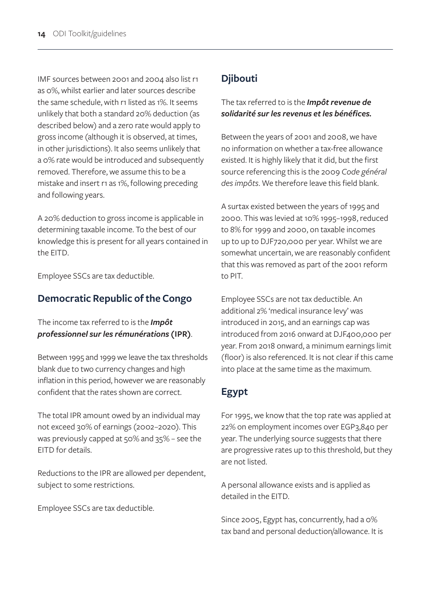IMF sources between 2001 and 2004 also list r1 as 0%, whilst earlier and later sources describe the same schedule, with r1 listed as 1%. It seems unlikely that both a standard 20% deduction (as described below) and a zero rate would apply to gross income (although it is observed, at times, in other jurisdictions). It also seems unlikely that a 0% rate would be introduced and subsequently removed. Therefore, we assume this to be a mistake and insert r1 as 1%, following preceding and following years.

A 20% deduction to gross income is applicable in determining taxable income. To the best of our knowledge this is present for all years contained in the EITD.

Employee SSCs are tax deductible.

## **Democratic Republic of the Congo**

The income tax referred to is the *Impôt professionnel sur les rémunérations* **(IPR)**.

Between 1995 and 1999 we leave the tax thresholds blank due to two currency changes and high inflation in this period, however we are reasonably confident that the rates shown are correct.

The total IPR amount owed by an individual may not exceed 30% of earnings (2002–2020). This was previously capped at 50% and 35% – see the EITD for details.

Reductions to the IPR are allowed per dependent, subject to some restrictions.

Employee SSCs are tax deductible.

## **Djibouti**

The tax referred to is the *Impôt revenue de solidarité sur les revenus et les bénéfices.*

Between the years of 2001 and 2008, we have no information on whether a tax-free allowance existed. It is highly likely that it did, but the first source referencing this is the 2009 *Code général des impôts*. We therefore leave this field blank.

A surtax existed between the years of 1995 and 2000. This was levied at 10% 1995–1998, reduced to 8% for 1999 and 2000, on taxable incomes up to up to DJF720,000 per year. Whilst we are somewhat uncertain, we are reasonably confident that this was removed as part of the 2001 reform to PIT.

Employee SSCs are not tax deductible. An additional 2% 'medical insurance levy' was introduced in 2015, and an earnings cap was introduced from 2016 onward at DJF400,000 per year. From 2018 onward, a minimum earnings limit (floor) is also referenced. It is not clear if this came into place at the same time as the maximum.

## **Egypt**

For 1995, we know that the top rate was applied at 22% on employment incomes over EGP3,840 per year. The underlying source suggests that there are progressive rates up to this threshold, but they are not listed.

A personal allowance exists and is applied as detailed in the EITD.

Since 2005, Egypt has, concurrently, had a 0% tax band and personal deduction/allowance. It is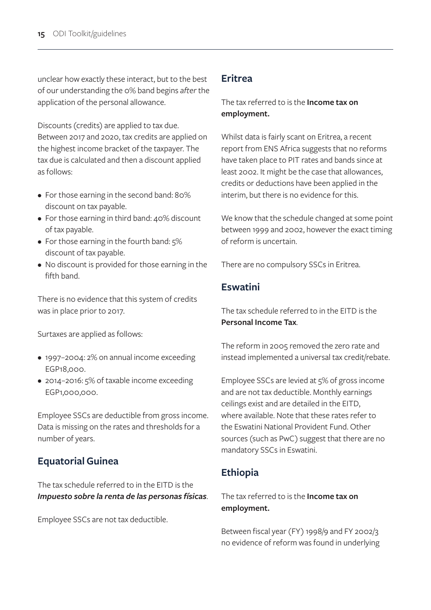unclear how exactly these interact, but to the best of our understanding the 0% band begins *after* the application of the personal allowance.

Discounts (credits) are applied to tax due. Between 2017 and 2020, tax credits are applied on the highest income bracket of the taxpayer. The tax due is calculated and then a discount applied as follows:

- For those earning in the second band: 80% discount on tax payable.
- For those earning in third band: 40% discount of tax payable.
- For those earning in the fourth band: 5% discount of tax payable.
- No discount is provided for those earning in the fifth band.

There is no evidence that this system of credits was in place prior to 2017.

Surtaxes are applied as follows:

- 1997–2004: 2% on annual income exceeding EGP18,000.
- 2014–2016: 5% of taxable income exceeding EGP1,000,000.

Employee SSCs are deductible from gross income. Data is missing on the rates and thresholds for a number of years.

## **Equatorial Guinea**

The tax schedule referred to in the EITD is the *Impuesto sobre la renta de las personas físicas*.

Employee SSCs are not tax deductible.

#### **Eritrea**

The tax referred to is the **Income tax on employment.**

Whilst data is fairly scant on Eritrea, a recent report from ENS Africa suggests that no reforms have taken place to PIT rates and bands since at least 2002. It might be the case that allowances, credits or deductions have been applied in the interim, but there is no evidence for this.

We know that the schedule changed at some point between 1999 and 2002, however the exact timing of reform is uncertain.

There are no compulsory SSCs in Eritrea.

### **Eswatini**

The tax schedule referred to in the EITD is the **Personal Income Tax**.

The reform in 2005 removed the zero rate and instead implemented a universal tax credit/rebate.

Employee SSCs are levied at 5% of gross income and are not tax deductible. Monthly earnings ceilings exist and are detailed in the EITD, where available. Note that these rates refer to the Eswatini National Provident Fund. Other sources (such as PwC) suggest that there are no mandatory SSCs in Eswatini.

## **Ethiopia**

The tax referred to is the **Income tax on employment.**

Between fiscal year (FY) 1998/9 and FY 2002/3 no evidence of reform was found in underlying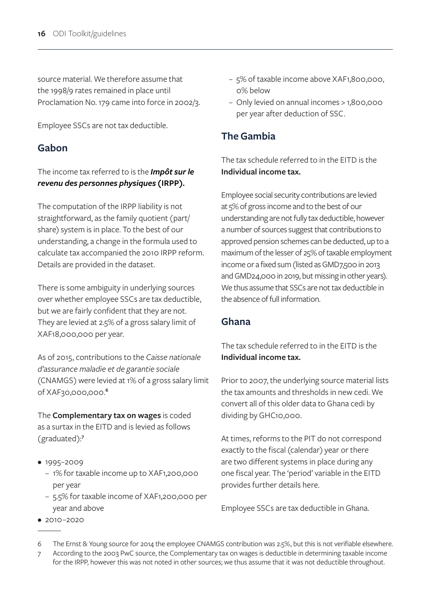source material. We therefore assume that the 1998/9 rates remained in place until Proclamation No. 179 came into force in 2002/3.

Employee SSCs are not tax deductible.

### **Gabon**

#### The income tax referred to is the *Impôt sur le revenu des personnes physiques* **(IRPP).**

The computation of the IRPP liability is not straightforward, as the family quotient (part/ share) system is in place. To the best of our understanding, a change in the formula used to calculate tax accompanied the 2010 IRPP reform. Details are provided in the dataset.

There is some ambiguity in underlying sources over whether employee SSCs are tax deductible, but we are fairly confident that they are not. They are levied at 2.5% of a gross salary limit of XAF18,000,000 per year.

As of 2015, contributions to the *Caisse nationale d'assurance maladie et de garantie sociale*  (CNAMGS) were levied at 1% of a gross salary limit of XAF30,000,000.**<sup>6</sup>**

The **Complementary tax on wages** is coded as a surtax in the EITD and is levied as follows (graduated):**<sup>7</sup>**

- 1995-2009
	- 1% for taxable income up to XAF1,200,000 per year
	- 5.5% for taxable income of XAF1,200,000 per year and above
- 2010–2020
- 5% of taxable income above XAF1,800,000, 0% below
- Only levied on annual incomes > 1,800,000 per year after deduction of SSC.

## **The Gambia**

The tax schedule referred to in the EITD is the **Individual income tax.**

Employee social security contributions are levied at 5% of gross income and to the best of our understanding are not fully tax deductible, however a number of sources suggest that contributions to approved pension schemes can be deducted, up to a maximum of the lesser of 25% of taxable employment income or a fixed sum (listed as GMD7,500 in 2013 and GMD24,000 in 2019, but missing in other years). We thus assume that SSCs are not tax deductible in the absence of full information.

#### **Ghana**

The tax schedule referred to in the EITD is the **Individual income tax.**

Prior to 2007, the underlying source material lists the tax amounts and thresholds in new cedi. We convert all of this older data to Ghana cedi by dividing by GHC10,000.

At times, reforms to the PIT do not correspond exactly to the fiscal (calendar) year or there are two different systems in place during any one fiscal year. The 'period' variable in the EITD provides further details here.

Employee SSCs are tax deductible in Ghana.

6 The Ernst & Young source for 2014 the employee CNAMGS contribution was 2.5%, but this is not verifiable elsewhere. 7 According to the 2003 PwC source, the Complementary tax on wages is deductible in determining taxable income for the IRPP, however this was not noted in other sources; we thus assume that it was not deductible throughout.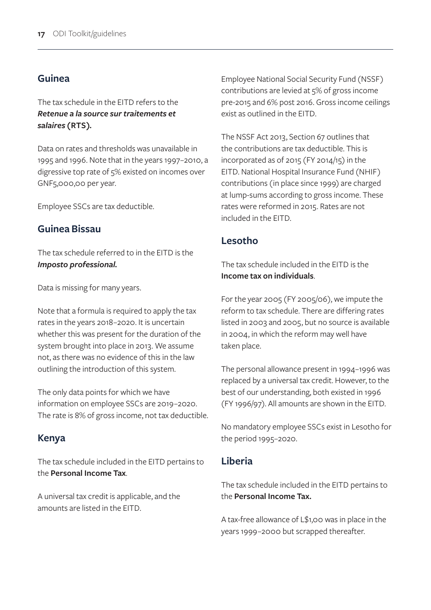#### **Guinea**

The tax schedule in the EITD refers to the *Retenue a la source sur traitements et salaires* **(RTS)***.*

Data on rates and thresholds was unavailable in 1995 and 1996. Note that in the years 1997–2010, a digressive top rate of 5% existed on incomes over GNF5,000,00 per year.

Employee SSCs are tax deductible.

#### **Guinea Bissau**

The tax schedule referred to in the EITD is the *Imposto professional.*

Data is missing for many years.

Note that a formula is required to apply the tax rates in the years 2018–2020. It is uncertain whether this was present for the duration of the system brought into place in 2013. We assume not, as there was no evidence of this in the law outlining the introduction of this system.

The only data points for which we have information on employee SSCs are 2019–2020. The rate is 8% of gross income, not tax deductible.

#### **Kenya**

The tax schedule included in the EITD pertains to the **Personal Income Tax**.

A universal tax credit is applicable, and the amounts are listed in the EITD.

Employee National Social Security Fund (NSSF) contributions are levied at 5% of gross income pre-2015 and 6% post 2016. Gross income ceilings exist as outlined in the EITD.

The NSSF Act 2013, Section 67 outlines that the contributions are tax deductible. This is incorporated as of 2015 (FY 2014/15) in the EITD. National Hospital Insurance Fund (NHIF) contributions (in place since 1999) are charged at lump-sums according to gross income. These rates were reformed in 2015. Rates are not included in the EITD.

#### **Lesotho**

The tax schedule included in the EITD is the **Income tax on individuals**.

For the year 2005 (FY 2005/06), we impute the reform to tax schedule. There are differing rates listed in 2003 and 2005, but no source is available in 2004, in which the reform may well have taken place.

The personal allowance present in 1994–1996 was replaced by a universal tax credit. However, to the best of our understanding, both existed in 1996 (FY 1996/97). All amounts are shown in the EITD.

No mandatory employee SSCs exist in Lesotho for the period 1995–2020.

#### **Liberia**

The tax schedule included in the EITD pertains to the **Personal Income Tax.** 

A tax-free allowance of L\$1,00 was in place in the years 1999–2000 but scrapped thereafter.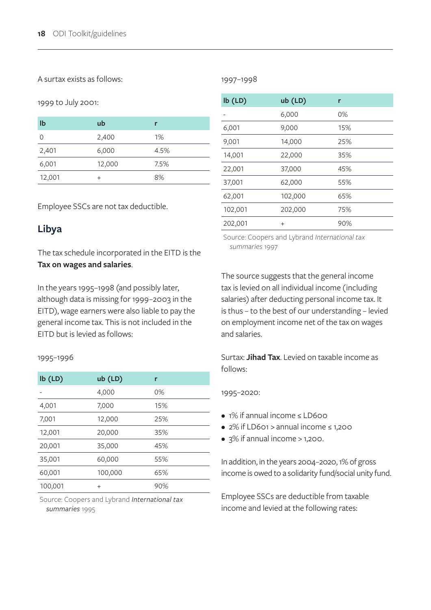#### A surtax exists as follows:

#### 1997–1998

#### 1999 to July 2001:

| Ib     | ub       | r    |
|--------|----------|------|
|        | 2,400    | 1%   |
| 2,401  | 6,000    | 4.5% |
| 6,001  | 12,000   | 7.5% |
| 12,001 | $\,{}^+$ | 8%   |

Employee SSCs are not tax deductible.

### **Libya**

The tax schedule incorporated in the EITD is the **Tax on wages and salaries**.

In the years 1995–1998 (and possibly later, although data is missing for 1999–2003 in the EITD), wage earners were also liable to pay the general income tax. This is not included in the EITD but is levied as follows:

#### 1995–1996

| $lb$ (LD) | $ub$ (LD) | r   |
|-----------|-----------|-----|
|           | 4,000     | 0%  |
| 4,001     | 7,000     | 15% |
| 7,001     | 12,000    | 25% |
| 12,001    | 20,000    | 35% |
| 20,001    | 35,000    | 45% |
| 35,001    | 60,000    | 55% |
| 60,001    | 100,000   | 65% |
| 100,001   | $+$       | 90% |

Source: Coopers and Lybrand *International tax summaries* 1995

| $lb$ (LD) | ub (LD) | r   |
|-----------|---------|-----|
|           | 6,000   | 0%  |
| 6,001     | 9,000   | 15% |
| 9,001     | 14,000  | 25% |
| 14,001    | 22,000  | 35% |
| 22,001    | 37,000  | 45% |
| 37,001    | 62,000  | 55% |
| 62,001    | 102,000 | 65% |
| 102,001   | 202,000 | 75% |
| 202,001   | $^{+}$  | 90% |

Source: Coopers and Lybrand *International tax summaries* 1997

The source suggests that the general income tax is levied on all individual income (including salaries) after deducting personal income tax. It is thus – to the best of our understanding – levied on employment income net of the tax on wages and salaries.

Surtax: **Jihad Tax**. Levied on taxable income as follows:

#### 1995–2020:

- 1% if annual income ≤ LD600
- 2% if LD601 > annual income ≤ 1,200
- $\bullet$  3% if annual income > 1,200.

In addition, in the years 2004–2020, 1% of gross income is owed to a solidarity fund/social unity fund.

Employee SSCs are deductible from taxable income and levied at the following rates: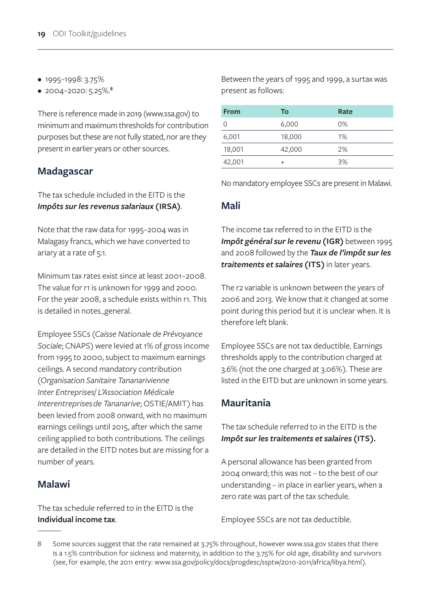- 1995–1998: 3.75%
- 2004–2020: 5.25%.**<sup>8</sup>**

There is reference made in 2019 (www.ssa.gov) to minimum and maximum thresholds for contribution purposes but these are not fully stated, nor are they present in earlier years or other sources.

#### **Madagascar**

The tax schedule included in the EITD is the *Impôts sur les revenus salariaux* **(IRSA)**.

Note that the raw data for 1995–2004 was in Malagasy francs, which we have converted to ariary at a rate of 5:1.

Minimum tax rates exist since at least 2001–2008. The value for r1 is unknown for 1999 and 2000. For the year 2008, a schedule exists within r1. This is detailed in notes\_general.

Employee SSCs (*Caisse Nationale de Prévoyance Sociale*; CNAPS) were levied at 1% of gross income from 1995 to 2000, subject to maximum earnings ceilings. A second mandatory contribution (*Organisation Sanitaire Tananarivienne Inter Entreprises*/ *L'Association Médicale Interentreprises de Tananarive*; OSTIE/AMIT) has been levied from 2008 onward, with no maximum earnings ceilings until 2015, after which the same ceiling applied to both contributions. The ceilings are detailed in the EITD notes but are missing for a number of years.

#### **Malawi**

The tax schedule referred to in the EITD is the **Individual income tax**.

Between the years of 1995 and 1999, a surtax was present as follows:

| <b>From</b> | To     | Rate  |
|-------------|--------|-------|
| $\Omega$    | 6,000  | $0\%$ |
| 6,001       | 18,000 | 1%    |
| 18,001      | 42,000 | 2%    |
| 42,001      | $^+$   | 3%    |

No mandatory employee SSCs are present in Malawi.

#### **Mali**

The income tax referred to in the EITD is the *Impôt général sur le revenu* **(IGR)** between 1995 and 2008 followed by the *Taux de l'impôt sur les traitements et salaires* **(ITS)** in later years.

The r2 variable is unknown between the years of 2006 and 2013. We know that it changed at some point during this period but it is unclear when. It is therefore left blank.

Employee SSCs are not tax deductible. Earnings thresholds apply to the contribution charged at 3.6% (not the one charged at 3.06%). These are listed in the EITD but are unknown in some years.

## **Mauritania**

The tax schedule referred to in the EITD is the *Impôt sur les traitements et salaires* **(ITS).**

A personal allowance has been granted from 2004 onward; this was not – to the best of our understanding – in place in earlier years, when a zero rate was part of the tax schedule.

Employee SSCs are not tax deductible.

<sup>8</sup> Some sources suggest that the rate remained at 3.75% throughout, however www.ssa.gov states that there is a 1.5% contribution for sickness and maternity, in addition to the 3.75% for old age, disability and survivors (see, for example, the 2011 entry: www.ssa.gov/policy/docs/progdesc/ssptw/2010-2011/africa/libya.html).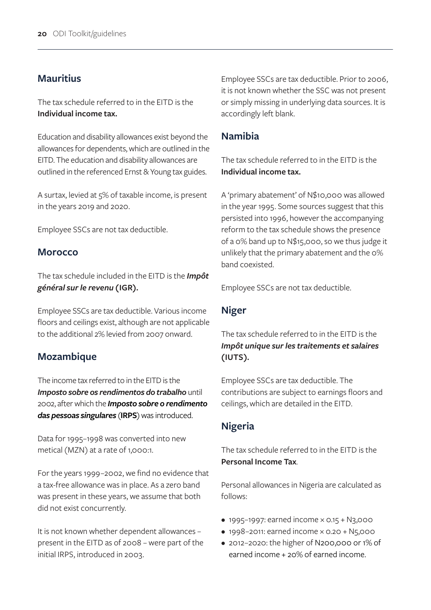#### **Mauritius**

The tax schedule referred to in the EITD is the **Individual income tax.**

Education and disability allowances exist beyond the allowances for dependents, which are outlined in the EITD. The education and disability allowances are outlined in the referenced Ernst & Young tax guides.

A surtax, levied at 5% of taxable income, is present in the years 2019 and 2020.

Employee SSCs are not tax deductible.

#### **Morocco**

The tax schedule included in the EITD is the *Impôt général sur le revenu* **(IGR).**

Employee SSCs are tax deductible. Various income floors and ceilings exist, although are not applicable to the additional 2% levied from 2007 onward.

#### **Mozambique**

The income tax referred to in the EITD is the *Imposto sobre os rendimentos do trabalho* until 2002, after which the *Imposto sobre o rendimento das pessoas singulares* (**IRPS**) was introduced.

Data for 1995–1998 was converted into new metical (MZN) at a rate of 1,000:1.

For the years 1999–2002, we find no evidence that a tax-free allowance was in place. As a zero band was present in these years, we assume that both did not exist concurrently.

It is not known whether dependent allowances – present in the EITD as of 2008 – were part of the initial IRPS, introduced in 2003.

Employee SSCs are tax deductible. Prior to 2006, it is not known whether the SSC was not present or simply missing in underlying data sources. It is accordingly left blank.

#### **Namibia**

The tax schedule referred to in the EITD is the **Individual income tax.**

A 'primary abatement' of N\$10,000 was allowed in the year 1995. Some sources suggest that this persisted into 1996, however the accompanying reform to the tax schedule shows the presence of a 0% band up to N\$15,000, so we thus judge it unlikely that the primary abatement and the 0% band coexisted.

Employee SSCs are not tax deductible.

#### **Niger**

The tax schedule referred to in the EITD is the *Impôt unique sur les traitements et salaires*  **(IUTS).**

Employee SSCs are tax deductible. The contributions are subject to earnings floors and ceilings, which are detailed in the EITD.

#### **Nigeria**

The tax schedule referred to in the EITD is the **Personal Income Tax**.

Personal allowances in Nigeria are calculated as follows:

- 1995–1997: earned income  $\times$  0.15 + N3,000
- 1998–2011: earned income × 0.20 + N5,000
- 2012–2020: the higher of N200,000 or 1% of earned income + 20% of earned income.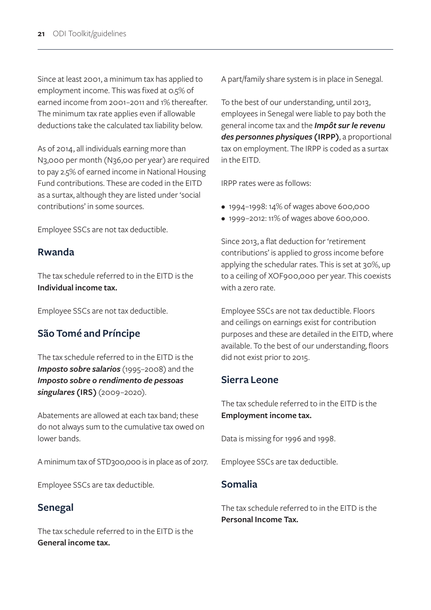Since at least 2001, a minimum tax has applied to employment income. This was fixed at 0.5% of earned income from 2001–2011 and 1% thereafter. The minimum tax rate applies even if allowable deductions take the calculated tax liability below.

As of 2014, all individuals earning more than N3,000 per month (N36,00 per year) are required to pay 2.5% of earned income in National Housing Fund contributions. These are coded in the EITD as a surtax, although they are listed under 'social contributions' in some sources.

Employee SSCs are not tax deductible.

#### **Rwanda**

The tax schedule referred to in the EITD is the **Individual income tax.**

Employee SSCs are not tax deductible.

## **São Tomé and Príncipe**

The tax schedule referred to in the EITD is the *Imposto sobre salarios* (1995–2008) and the *Imposto sobre o rendimento de pessoas singulares* **(IRS)** (2009–2020).

Abatements are allowed at each tax band; these do not always sum to the cumulative tax owed on lower bands.

A minimum tax of STD300,000 is in place as of 2017.

Employee SSCs are tax deductible.

#### **Senegal**

The tax schedule referred to in the EITD is the **General income tax.** 

A part/family share system is in place in Senegal.

To the best of our understanding, until 2013, employees in Senegal were liable to pay both the general income tax and the *Impôt sur le revenu des personnes physiques* **(IRPP)**, a proportional tax on employment. The IRPP is coded as a surtax in the EITD.

IRPP rates were as follows:

- 1994–1998: 14% of wages above 600,000
- 1999–2012: 11% of wages above 600,000.

Since 2013, a flat deduction for 'retirement contributions' is applied to gross income before applying the schedular rates. This is set at 30%, up to a ceiling of XOF900,000 per year. This coexists with a zero rate.

Employee SSCs are not tax deductible. Floors and ceilings on earnings exist for contribution purposes and these are detailed in the EITD, where available. To the best of our understanding, floors did not exist prior to 2015.

#### **Sierra Leone**

The tax schedule referred to in the EITD is the **Employment income tax.**

Data is missing for 1996 and 1998.

Employee SSCs are tax deductible.

#### **Somalia**

The tax schedule referred to in the EITD is the **Personal Income Tax.**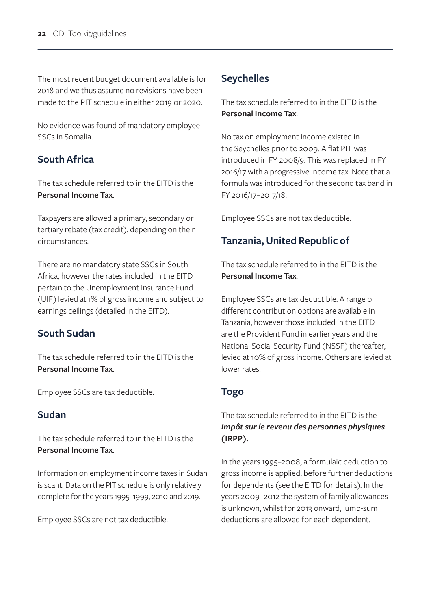The most recent budget document available is for 2018 and we thus assume no revisions have been made to the PIT schedule in either 2019 or 2020.

No evidence was found of mandatory employee SSCs in Somalia.

## **South Africa**

The tax schedule referred to in the EITD is the **Personal Income Tax**.

Taxpayers are allowed a primary, secondary or tertiary rebate (tax credit), depending on their circumstances.

There are no mandatory state SSCs in South Africa, however the rates included in the EITD pertain to the Unemployment Insurance Fund (UIF) levied at 1% of gross income and subject to earnings ceilings (detailed in the EITD).

## **South Sudan**

The tax schedule referred to in the EITD is the **Personal Income Tax**.

Employee SSCs are tax deductible.

## **Sudan**

The tax schedule referred to in the EITD is the **Personal Income Tax**.

Information on employment income taxes in Sudan is scant. Data on the PIT schedule is only relatively complete for the years 1995–1999, 2010 and 2019.

Employee SSCs are not tax deductible.

## **Seychelles**

The tax schedule referred to in the EITD is the **Personal Income Tax**.

No tax on employment income existed in the Seychelles prior to 2009. A flat PIT was introduced in FY 2008/9. This was replaced in FY 2016/17 with a progressive income tax. Note that a formula was introduced for the second tax band in FY 2016/17–2017/18.

Employee SSCs are not tax deductible.

## **Tanzania, United Republic of**

The tax schedule referred to in the EITD is the **Personal Income Tax**.

Employee SSCs are tax deductible. A range of different contribution options are available in Tanzania, however those included in the EITD are the Provident Fund in earlier years and the National Social Security Fund (NSSF) thereafter, levied at 10% of gross income. Others are levied at lower rates.

## **Togo**

#### The tax schedule referred to in the EITD is the *Impôt sur le revenu des personnes physiques*  **(IRPP).**

In the years 1995–2008, a formulaic deduction to gross income is applied, before further deductions for dependents (see the EITD for details). In the years 2009–2012 the system of family allowances is unknown, whilst for 2013 onward, lump-sum deductions are allowed for each dependent.